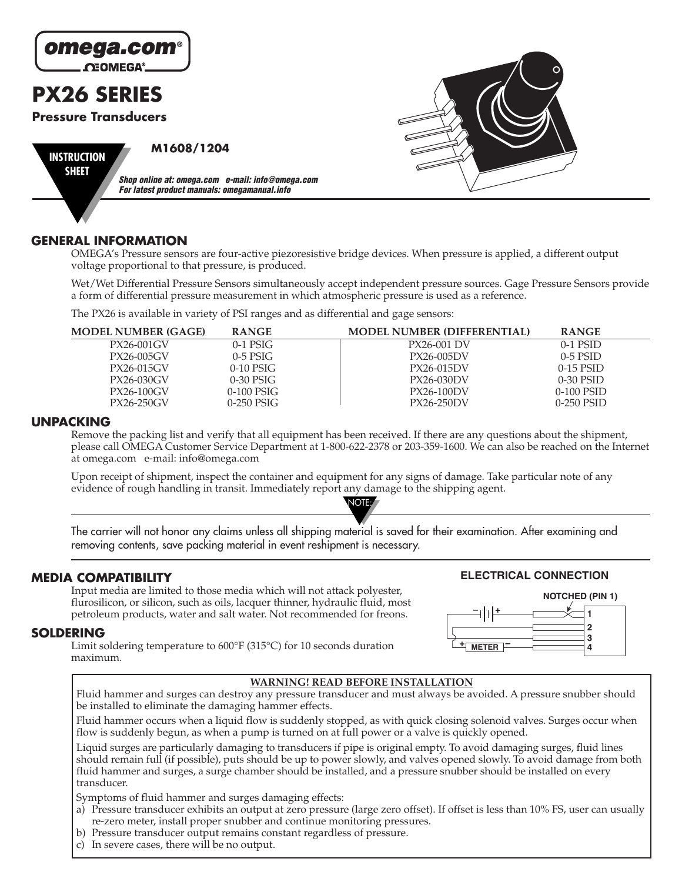

## **GENERAL INFORMATION**

OMEGA's Pressure sensors are four-active piezoresistive bridge devices. When pressure is applied, a different output voltage proportional to that pressure, is produced.

Wet/Wet Differential Pressure Sensors simultaneously accept independent pressure sources. Gage Pressure Sensors provide a form of differential pressure measurement in which atmospheric pressure is used as a reference.

The PX26 is available in variety of PSI ranges and as differential and gage sensors:

| <b>MODEL NUMBER (GAGE)</b> | <b>RANGE</b> | <b>MODEL NUMBER (DIFFERENTIAL)</b> | <b>RANGE</b> |
|----------------------------|--------------|------------------------------------|--------------|
| PX26-001GV                 | $0-1$ PSIG   | <b>PX26-001 DV</b>                 | $0-1$ PSID   |
| PX26-005GV                 | $0-5$ PSIG   | PX26-005DV                         | $0-5$ PSID   |
| PX26-015GV                 | $0-10$ PSIG  | PX26-015DV                         | $0-15$ PSID  |
| PX26-030GV                 | $0-30$ PSIG  | PX26-030DV                         | $0-30$ PSID  |
| PX26-100GV                 | $0-100$ PSIG | PX26-100DV                         | $0-100$ PSID |
| PX26-250GV                 | $0-250$ PSIG | PX26-250DV                         | 0-250 PSID   |

### **UNPACKING**

Remove the packing list and verify that all equipment has been received. If there are any questions about the shipment, please call OMEGA Customer Service Department at 1-800-622-2378 or 203-359-1600. We can also be reached on the Internet at omega.com e-mail: info@omega.com

NOTE:

Upon receipt of shipment, inspect the container and equipment for any signs of damage. Take particular note of any evidence of rough handling in transit. Immediately report any damage to the shipping agent.

The carrier will not honor any claims unless all shipping material is saved for their examination. After examining and removing contents, save packing material in event reshipment is necessary.

## **MEDIA COMPATIBILITY**

Input media are limited to those media which will not attack polyester, flurosilicon, or silicon, such as oils, lacquer thinner, hydraulic fluid, most petroleum products, water and salt water. Not recommended for freons.

## **SOLDERING**

Limit soldering temperature to 600°F (315°C) for 10 seconds duration maximum.

# **WARNING! READ BEFORE INSTALLATION**

**1**



**ELECTRICAL CONNECTION**

**NOTCHED (PIN 1)**

Fluid hammer and surges can destroy any pressure transducer and must always be avoided. A pressure snubber should be installed to eliminate the damaging hammer effects.

Fluid hammer occurs when a liquid flow is suddenly stopped, as with quick closing solenoid valves. Surges occur when flow is suddenly begun, as when a pump is turned on at full power or a valve is quickly opened.

Liquid surges are particularly damaging to transducers if pipe is original empty. To avoid damaging surges, fluid lines should remain full (if possible), puts should be up to power slowly, and valves opened slowly. To avoid damage from both fluid hammer and surges, a surge chamber should be installed, and a pressure snubber should be installed on every transducer.

Symptoms of fluid hammer and surges damaging effects:

- a) Pressure transducer exhibits an output at zero pressure (large zero offset). If offset is less than 10% FS, user can usually re-zero meter, install proper snubber and continue monitoring pressures.
- b) Pressure transducer output remains constant regardless of pressure.
- c) In severe cases, there will be no output.